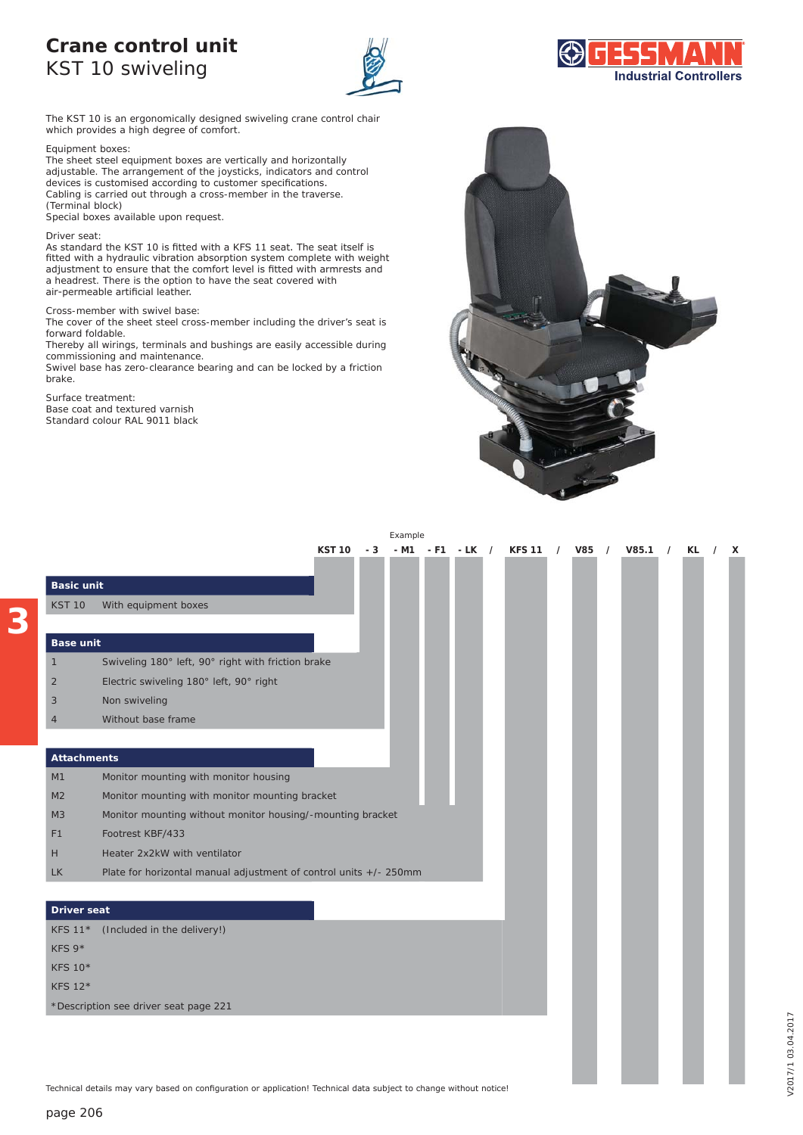## **Crane control unit**  KST 10 swiveling



The KST 10 is an ergonomically designed swiveling crane control chair which provides a high degree of comfort.

Equipment boxes:

The sheet steel equipment boxes are vertically and horizontally adjustable. The arrangement of the joysticks, indicators and control devices is customised according to customer specifications. Cabling is carried out through a cross-member in the traverse. (Terminal block)

Special boxes available upon request.

#### Driver seat:

**3**

As standard the KST 10 is fitted with a KFS 11 seat. The seat itself is fitted with a hydraulic vibration absorption system complete with weight adjustment to ensure that the comfort level is fitted with armrests and a headrest. There is the option to have the seat covered with air-permeable artificial leather.

### Cross-member with swivel base:

The cover of the sheet steel cross-member including the driver's seat is forward foldable.

Thereby all wirings, terminals and bushings are easily accessible during commissioning and maintenance.

Swivel base has zero-clearance bearing and can be locked by a friction brake.

Surface treatment: Base coat and textured varnish Standard colour RAL 9011 black



|                    |                                                                   |               |     | Example |       |         |               |       |            |       |            |    |          |   |
|--------------------|-------------------------------------------------------------------|---------------|-----|---------|-------|---------|---------------|-------|------------|-------|------------|----|----------|---|
|                    |                                                                   | <b>KST 10</b> | - 3 | - M1    | $-F1$ | $-LK$ / | <b>KFS 11</b> | / V85 | $\sqrt{ }$ | V85.1 | $\sqrt{ }$ | KL | $\prime$ | X |
|                    |                                                                   |               |     |         |       |         |               |       |            |       |            |    |          |   |
| <b>Basic unit</b>  |                                                                   |               |     |         |       |         |               |       |            |       |            |    |          |   |
| <b>KST 10</b>      | With equipment boxes                                              |               |     |         |       |         |               |       |            |       |            |    |          |   |
|                    |                                                                   |               |     |         |       |         |               |       |            |       |            |    |          |   |
| <b>Base unit</b>   |                                                                   |               |     |         |       |         |               |       |            |       |            |    |          |   |
| $\mathbf{1}$       | Swiveling 180° left, 90° right with friction brake                |               |     |         |       |         |               |       |            |       |            |    |          |   |
| $\overline{2}$     | Electric swiveling 180° left, 90° right                           |               |     |         |       |         |               |       |            |       |            |    |          |   |
| 3                  | Non swiveling                                                     |               |     |         |       |         |               |       |            |       |            |    |          |   |
| $\overline{4}$     | Without base frame                                                |               |     |         |       |         |               |       |            |       |            |    |          |   |
|                    |                                                                   |               |     |         |       |         |               |       |            |       |            |    |          |   |
| <b>Attachments</b> |                                                                   |               |     |         |       |         |               |       |            |       |            |    |          |   |
| M1                 | Monitor mounting with monitor housing                             |               |     |         |       |         |               |       |            |       |            |    |          |   |
| M <sub>2</sub>     | Monitor mounting with monitor mounting bracket                    |               |     |         |       |         |               |       |            |       |            |    |          |   |
| M3                 | Monitor mounting without monitor housing/-mounting bracket        |               |     |         |       |         |               |       |            |       |            |    |          |   |
| F1                 | Footrest KBF/433                                                  |               |     |         |       |         |               |       |            |       |            |    |          |   |
| H                  | Heater 2x2kW with ventilator                                      |               |     |         |       |         |               |       |            |       |            |    |          |   |
| <b>LK</b>          | Plate for horizontal manual adjustment of control units +/- 250mm |               |     |         |       |         |               |       |            |       |            |    |          |   |
|                    |                                                                   |               |     |         |       |         |               |       |            |       |            |    |          |   |
| <b>Driver seat</b> |                                                                   |               |     |         |       |         |               |       |            |       |            |    |          |   |
| <b>KFS 11*</b>     | (Included in the delivery!)                                       |               |     |         |       |         |               |       |            |       |            |    |          |   |
| KFS 9*             |                                                                   |               |     |         |       |         |               |       |            |       |            |    |          |   |
| <b>KFS 10*</b>     |                                                                   |               |     |         |       |         |               |       |            |       |            |    |          |   |
| <b>KFS 12*</b>     |                                                                   |               |     |         |       |         |               |       |            |       |            |    |          |   |
|                    | *Description see driver seat page 221                             |               |     |         |       |         |               |       |            |       |            |    |          |   |

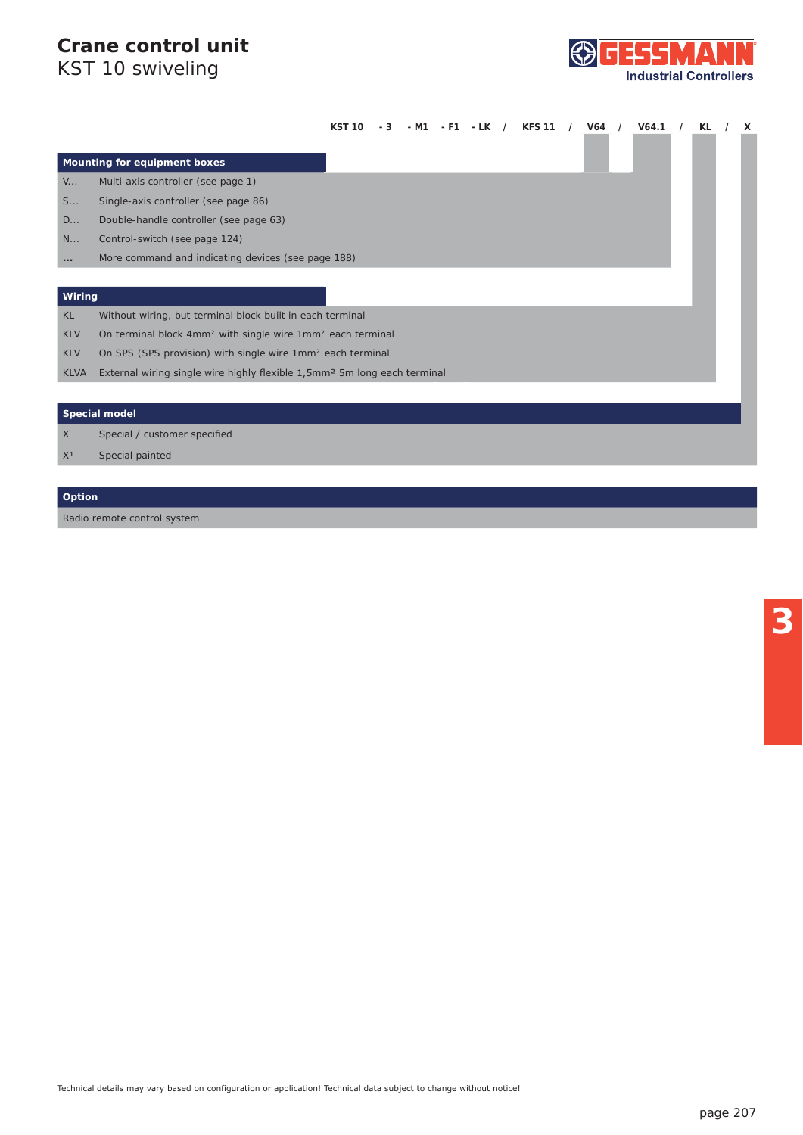# **Crane control unit**

KST 10 swiveling



|                              |                                    | KST 10 |  |  |  | V64 | V64.1 | KL | x |
|------------------------------|------------------------------------|--------|--|--|--|-----|-------|----|---|
|                              |                                    |        |  |  |  |     |       |    |   |
| Mounting for equipment boxes |                                    |        |  |  |  |     |       |    |   |
| $V_{\cdots}$                 | Multi-axis controller (see page 1) |        |  |  |  |     |       |    |   |

- S... Single-axis controller *(see page 86)*
- D... Double-handle controller *(see page 63)*
- N... Control-switch *(see page 124)*
- **...** *More command and indicating devices (see page 188)*

### **Wiring**

KL Without wiring, but terminal block built in each terminal

- KLV On terminal block 4mm² with single wire 1mm² each terminal
- KLV On SPS (SPS provision) with single wire 1mm² each terminal
- KLVA External wiring single wire highly flexible 1,5mm<sup>2</sup> 5m long each terminal

### **Special model**

X **Special / customer specified** 

X<sup>1</sup> Special painted

## **Option**

Radio remote control system